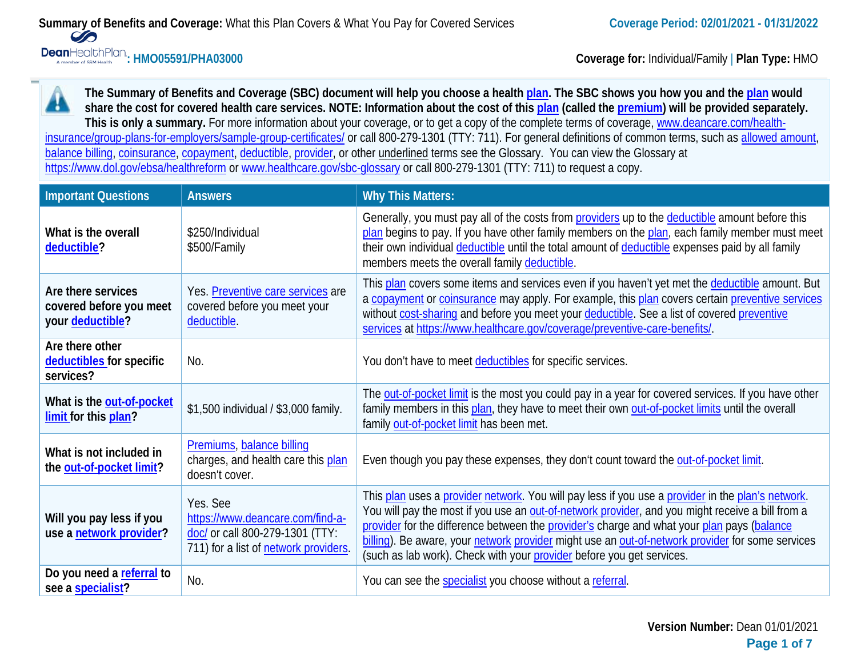**Coverage for:** Individual/Family | **Plan Type:** HMO

**The Summary of Benefits and Coverage (SBC) document will help you choose a health [plan.](https://www.healthcare.gov/sbc-glossary/#plan) The SBC shows you how you and the [plan](https://www.healthcare.gov/sbc-glossary/#plan) would** A **share the cost for covered health care services. NOTE: Information about the cost of this [plan](https://www.healthcare.gov/sbc-glossary/#plan) (called the [premium\)](https://www.healthcare.gov/sbc-glossary/#premium) will be provided separately.** This is only a summary. For more information about your coverage, or to get a copy of the complete terms of coverage, [www.deancare.com/health](https://www.deancare.com/health-insurance/group-plans-for-employers/sample-group-certificates/)[insurance/group-plans-for-employers/sample-group-certificates/](https://www.deancare.com/health-insurance/group-plans-for-employers/sample-group-certificates/) or call 800-279-1301 (TTY: 711). For general definitions of common terms, such as [allowed amount,](https://www.healthcare.gov/sbc-glossary/#allowed-amount) [balance billing,](https://www.healthcare.gov/sbc-glossary/#balance-billing) [coinsurance,](https://www.healthcare.gov/sbc-glossary/#coinsurance) [copayment,](https://www.healthcare.gov/sbc-glossary/#copayment) [deductible,](https://www.healthcare.gov/sbc-glossary/#deductible) [provider,](https://www.healthcare.gov/sbc-glossary/#provider) or other underlined terms see the Glossary. You can view the Glossary at <https://www.dol.gov/ebsa/healthreform> or www.healthcare.gov/sbc-glossary or call 800-279-1301 (TTY: 711) to request a copy.

| <b>Important Questions</b>                                                                                         | <b>Answers</b>                                                                                                           | <b>Why This Matters:</b>                                                                                                                                                                                                                                                                                                                                                                                                                                                         |  |
|--------------------------------------------------------------------------------------------------------------------|--------------------------------------------------------------------------------------------------------------------------|----------------------------------------------------------------------------------------------------------------------------------------------------------------------------------------------------------------------------------------------------------------------------------------------------------------------------------------------------------------------------------------------------------------------------------------------------------------------------------|--|
| What is the overall<br>deductible?                                                                                 | \$250/Individual<br>\$500/Family                                                                                         | Generally, you must pay all of the costs from providers up to the deductible amount before this<br>plan begins to pay. If you have other family members on the plan, each family member must meet<br>their own individual deductible until the total amount of deductible expenses paid by all family<br>members meets the overall family deductible.                                                                                                                            |  |
| Are there services<br>covered before you meet<br>your deductible?                                                  | Yes. Preventive care services are<br>covered before you meet your<br>deductible.                                         | This plan covers some items and services even if you haven't yet met the deductible amount. But<br>a copayment or coinsurance may apply. For example, this plan covers certain preventive services<br>without cost-sharing and before you meet your deductible. See a list of covered preventive<br>services at https://www.healthcare.gov/coverage/preventive-care-benefits/.                                                                                                   |  |
| Are there other<br>deductibles for specific<br>services?                                                           | No.                                                                                                                      | You don't have to meet deductibles for specific services.                                                                                                                                                                                                                                                                                                                                                                                                                        |  |
| What is the out-of-pocket<br>limit for this plan?                                                                  | \$1,500 individual / \$3,000 family.                                                                                     | The out-of-pocket limit is the most you could pay in a year for covered services. If you have other<br>family members in this plan, they have to meet their own out-of-pocket limits until the overall<br>family out-of-pocket limit has been met.                                                                                                                                                                                                                               |  |
| What is not included in<br>the out-of-pocket limit?                                                                | Premiums, balance billing<br>charges, and health care this plan<br>doesn't cover.                                        | Even though you pay these expenses, they don't count toward the out-of-pocket limit.                                                                                                                                                                                                                                                                                                                                                                                             |  |
| Will you pay less if you<br>use a network provider?                                                                | Yes. See<br>https://www.deancare.com/find-a-<br>doc/ or call 800-279-1301 (TTY:<br>711) for a list of network providers. | This plan uses a provider network. You will pay less if you use a provider in the plan's network.<br>You will pay the most if you use an out-of-network provider, and you might receive a bill from a<br>provider for the difference between the provider's charge and what your plan pays (balance<br>billing). Be aware, your network provider might use an out-of-network provider for some services<br>(such as lab work). Check with your provider before you get services. |  |
| Do you need a referral to<br>No.<br>You can see the specialist you choose without a referral.<br>see a specialist? |                                                                                                                          |                                                                                                                                                                                                                                                                                                                                                                                                                                                                                  |  |

**Dean**HealthPlan.<br>A member of SSM Health<br> **:** HMO05591/PHA03000

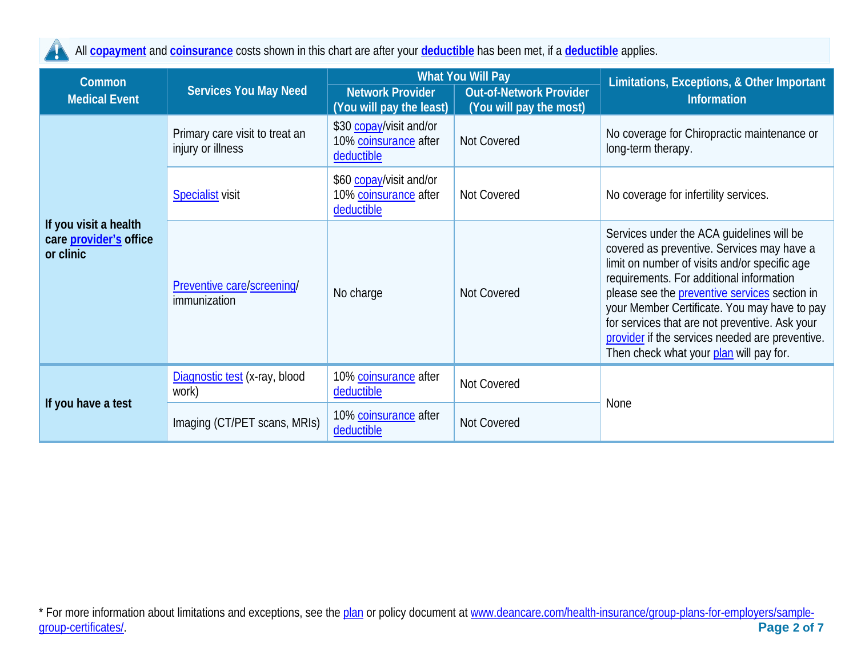41

All **[copayment](https://www.healthcare.gov/sbc-glossary/#copayment)** and **[coinsurance](https://www.healthcare.gov/sbc-glossary/#coinsurance)** costs shown in this chart are after your **[deductible](https://www.healthcare.gov/sbc-glossary/#deductible)** has been met, if a **[deductible](https://www.healthcare.gov/sbc-glossary/#deductible)** applies.

| Common                                                       |                                                     | <b>What You Will Pay</b>                                       |                                                           | Limitations, Exceptions, & Other Important                                                                                                                                                                                                                                                                                                                                                                                            |  |
|--------------------------------------------------------------|-----------------------------------------------------|----------------------------------------------------------------|-----------------------------------------------------------|---------------------------------------------------------------------------------------------------------------------------------------------------------------------------------------------------------------------------------------------------------------------------------------------------------------------------------------------------------------------------------------------------------------------------------------|--|
| <b>Medical Event</b>                                         | <b>Services You May Need</b>                        | <b>Network Provider</b><br>(You will pay the least)            | <b>Out-of-Network Provider</b><br>(You will pay the most) | <b>Information</b>                                                                                                                                                                                                                                                                                                                                                                                                                    |  |
|                                                              | Primary care visit to treat an<br>injury or illness | \$30 copay/visit and/or<br>10% coinsurance after<br>deductible | Not Covered                                               | No coverage for Chiropractic maintenance or<br>long-term therapy.                                                                                                                                                                                                                                                                                                                                                                     |  |
|                                                              | <b>Specialist</b> visit                             | \$60 copay/visit and/or<br>10% coinsurance after<br>deductible | Not Covered                                               | No coverage for infertility services.                                                                                                                                                                                                                                                                                                                                                                                                 |  |
| If you visit a health<br>care provider's office<br>or clinic | Preventive care/screening/<br>immunization          | No charge                                                      | Not Covered                                               | Services under the ACA guidelines will be<br>covered as preventive. Services may have a<br>limit on number of visits and/or specific age<br>requirements. For additional information<br>please see the preventive services section in<br>your Member Certificate. You may have to pay<br>for services that are not preventive. Ask your<br>provider if the services needed are preventive.<br>Then check what your plan will pay for. |  |
|                                                              | Diagnostic test (x-ray, blood<br>work)              | 10% coinsurance after<br>deductible                            | Not Covered                                               |                                                                                                                                                                                                                                                                                                                                                                                                                                       |  |
| If you have a test                                           | Imaging (CT/PET scans, MRIs)                        | 10% coinsurance after<br>deductible                            | <b>Not Covered</b>                                        | None                                                                                                                                                                                                                                                                                                                                                                                                                                  |  |

**Page 2 of 7** \* For more information about limitations and exceptions, see the [plan](https://www.healthcare.gov/sbc-glossary/#plan) or policy document at [www.deancare.com/health-insurance/group-plans-for-employers/sample](https://www.deancare.com/health-insurance/group-plans-for-employers/sample-group-certificates/)[group-certificates/.](https://www.deancare.com/health-insurance/group-plans-for-employers/sample-group-certificates/)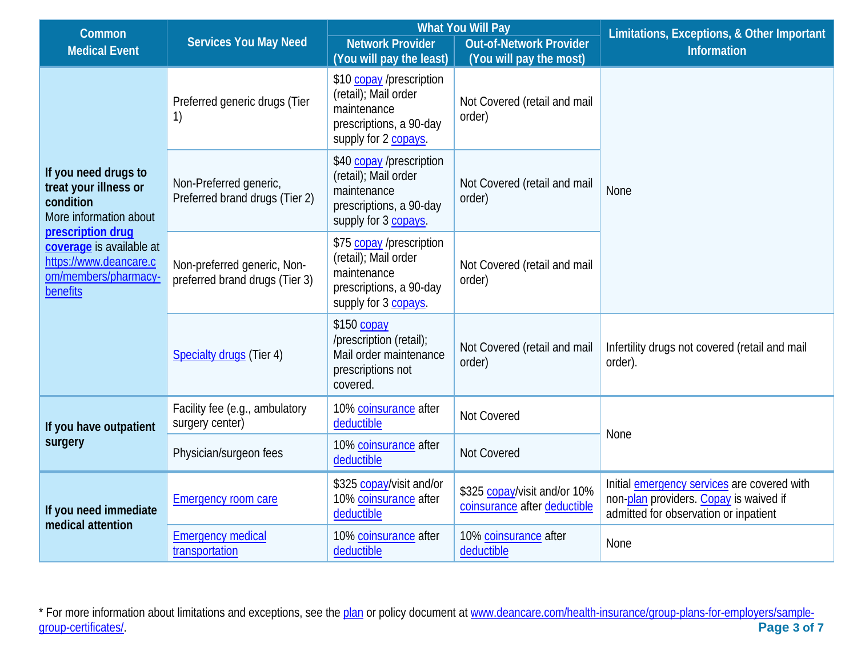| Common                                                                                                                                                                                              |                                                               | <b>What You Will Pay</b>                                                                                           |                                                              | Limitations, Exceptions, & Other Important                                                                                     |  |
|-----------------------------------------------------------------------------------------------------------------------------------------------------------------------------------------------------|---------------------------------------------------------------|--------------------------------------------------------------------------------------------------------------------|--------------------------------------------------------------|--------------------------------------------------------------------------------------------------------------------------------|--|
| <b>Medical Event</b>                                                                                                                                                                                | <b>Services You May Need</b>                                  | <b>Network Provider</b><br>(You will pay the least)                                                                | <b>Out-of-Network Provider</b><br>(You will pay the most)    | <b>Information</b>                                                                                                             |  |
|                                                                                                                                                                                                     | Preferred generic drugs (Tier<br>1)                           | \$10 copay /prescription<br>(retail); Mail order<br>maintenance<br>prescriptions, a 90-day<br>supply for 2 copays. | Not Covered (retail and mail<br>order)                       |                                                                                                                                |  |
| If you need drugs to<br>treat your illness or<br>condition<br>More information about<br>prescription drug<br>coverage is available at<br>https://www.deancare.c<br>om/members/pharmacy-<br>benefits | Non-Preferred generic,<br>Preferred brand drugs (Tier 2)      | \$40 copay /prescription<br>(retail); Mail order<br>maintenance<br>prescriptions, a 90-day<br>supply for 3 copays. | Not Covered (retail and mail<br>order)                       | None                                                                                                                           |  |
|                                                                                                                                                                                                     | Non-preferred generic, Non-<br>preferred brand drugs (Tier 3) | \$75 copay /prescription<br>(retail); Mail order<br>maintenance<br>prescriptions, a 90-day<br>supply for 3 copays. | Not Covered (retail and mail<br>order)                       |                                                                                                                                |  |
|                                                                                                                                                                                                     | Specialty drugs (Tier 4)                                      | \$150 copay<br>/prescription (retail);<br>Mail order maintenance<br>prescriptions not<br>covered.                  | Not Covered (retail and mail<br>order)                       | Infertility drugs not covered (retail and mail<br>order).                                                                      |  |
| If you have outpatient<br>surgery                                                                                                                                                                   | Facility fee (e.g., ambulatory<br>surgery center)             | 10% coinsurance after<br>deductible                                                                                | Not Covered                                                  |                                                                                                                                |  |
|                                                                                                                                                                                                     | Physician/surgeon fees                                        | 10% coinsurance after<br>deductible                                                                                | Not Covered                                                  | None                                                                                                                           |  |
| If you need immediate<br>medical attention                                                                                                                                                          | <b>Emergency room care</b>                                    | \$325 copay/visit and/or<br>10% coinsurance after<br>deductible                                                    | \$325 copay/visit and/or 10%<br>coinsurance after deductible | Initial emergency services are covered with<br>non-plan providers. Copay is waived if<br>admitted for observation or inpatient |  |
|                                                                                                                                                                                                     | <b>Emergency medical</b><br>transportation                    | 10% coinsurance after<br>deductible                                                                                | 10% coinsurance after<br>deductible                          | None                                                                                                                           |  |

**Page 3 of 7** \* For more information about limitations and exceptions, see the **plan** or policy document at [www.deancare.com/health-insurance/group-plans-for-employers/sample](https://www.deancare.com/health-insurance/group-plans-for-employers/sample-group-certificates/)[group-certificates/.](https://www.deancare.com/health-insurance/group-plans-for-employers/sample-group-certificates/)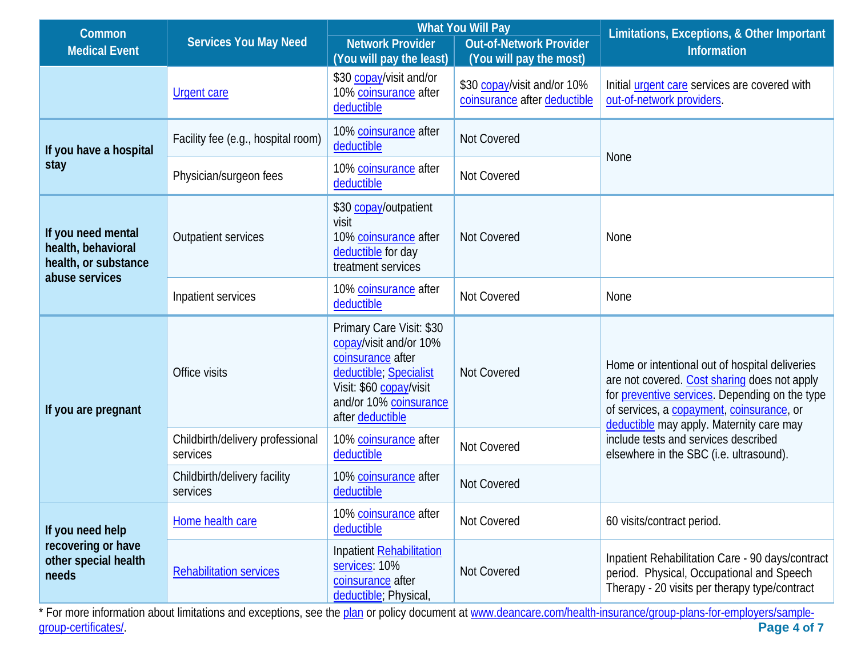| Common                                                           |                                              | <b>What You Will Pay</b>                                                                                                                                                   |                                                             | Limitations, Exceptions, & Other Important                                                                                                                                                                                                                                                                                   |  |
|------------------------------------------------------------------|----------------------------------------------|----------------------------------------------------------------------------------------------------------------------------------------------------------------------------|-------------------------------------------------------------|------------------------------------------------------------------------------------------------------------------------------------------------------------------------------------------------------------------------------------------------------------------------------------------------------------------------------|--|
| <b>Medical Event</b>                                             | <b>Services You May Need</b>                 | <b>Network Provider</b>                                                                                                                                                    | <b>Out-of-Network Provider</b>                              | Information                                                                                                                                                                                                                                                                                                                  |  |
|                                                                  |                                              | (You will pay the least)                                                                                                                                                   | (You will pay the most)                                     |                                                                                                                                                                                                                                                                                                                              |  |
|                                                                  | <b>Urgent care</b>                           | \$30 copay/visit and/or<br>10% coinsurance after<br>deductible                                                                                                             | \$30 copay/visit and/or 10%<br>coinsurance after deductible | Initial urgent care services are covered with<br>out-of-network providers.                                                                                                                                                                                                                                                   |  |
| If you have a hospital                                           | Facility fee (e.g., hospital room)           | 10% coinsurance after<br>deductible                                                                                                                                        | Not Covered                                                 |                                                                                                                                                                                                                                                                                                                              |  |
| stay                                                             | Physician/surgeon fees                       | 10% coinsurance after<br>deductible                                                                                                                                        | Not Covered                                                 | None                                                                                                                                                                                                                                                                                                                         |  |
| If you need mental<br>health, behavioral<br>health, or substance | Outpatient services                          | \$30 copay/outpatient<br>visit<br>10% coinsurance after<br>deductible for day<br>treatment services                                                                        | Not Covered                                                 | None                                                                                                                                                                                                                                                                                                                         |  |
| abuse services                                                   | Inpatient services                           | 10% coinsurance after<br>deductible                                                                                                                                        | Not Covered                                                 | None                                                                                                                                                                                                                                                                                                                         |  |
| If you are pregnant                                              | Office visits                                | Primary Care Visit: \$30<br>copay/visit and/or 10%<br>coinsurance after<br>deductible, Specialist<br>Visit: \$60 copay/visit<br>and/or 10% coinsurance<br>after deductible | Not Covered                                                 | Home or intentional out of hospital deliveries<br>are not covered. Cost sharing does not apply<br>for preventive services. Depending on the type<br>of services, a copayment, coinsurance, or<br>deductible may apply. Maternity care may<br>include tests and services described<br>elsewhere in the SBC (i.e. ultrasound). |  |
|                                                                  | Childbirth/delivery professional<br>services | 10% coinsurance after<br>deductible                                                                                                                                        | Not Covered                                                 |                                                                                                                                                                                                                                                                                                                              |  |
|                                                                  | Childbirth/delivery facility<br>services     | 10% coinsurance after<br>deductible                                                                                                                                        | Not Covered                                                 |                                                                                                                                                                                                                                                                                                                              |  |
| If you need help                                                 | Home health care                             | 10% coinsurance after<br>deductible                                                                                                                                        | Not Covered                                                 | 60 visits/contract period.                                                                                                                                                                                                                                                                                                   |  |
| recovering or have<br>other special health<br>needs              | <b>Rehabilitation services</b>               | Inpatient Rehabilitation<br>services: 10%<br>coinsurance after<br>deductible; Physical,                                                                                    | Not Covered                                                 | Inpatient Rehabilitation Care - 90 days/contract<br>period. Physical, Occupational and Speech<br>Therapy - 20 visits per therapy type/contract                                                                                                                                                                               |  |

**Page 4 of 7** \* For more information about limitations and exceptions, see the **plan** or policy document at [www.deancare.com/health-insurance/group-plans-for-employers/sample](https://www.deancare.com/health-insurance/group-plans-for-employers/sample-group-certificates/)[group-certificates/.](https://www.deancare.com/health-insurance/group-plans-for-employers/sample-group-certificates/)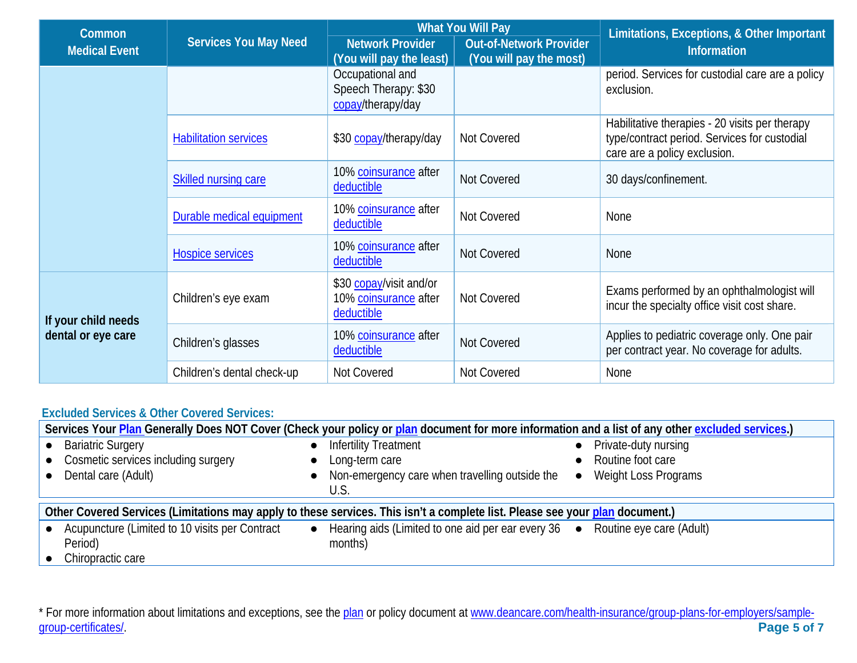| Common               | <b>Services You May Need</b> | <b>What You Will Pay</b>                                       |                                                           | Limitations, Exceptions, & Other Important                                                                                     |  |
|----------------------|------------------------------|----------------------------------------------------------------|-----------------------------------------------------------|--------------------------------------------------------------------------------------------------------------------------------|--|
| <b>Medical Event</b> |                              | <b>Network Provider</b><br>(You will pay the least)            | <b>Out-of-Network Provider</b><br>(You will pay the most) | <b>Information</b>                                                                                                             |  |
|                      |                              | Occupational and<br>Speech Therapy: \$30<br>copay/therapy/day  |                                                           | period. Services for custodial care are a policy<br>exclusion.                                                                 |  |
|                      | <b>Habilitation services</b> | \$30 copay/therapy/day                                         | Not Covered                                               | Habilitative therapies - 20 visits per therapy<br>type/contract period. Services for custodial<br>care are a policy exclusion. |  |
|                      | Skilled nursing care         | 10% coinsurance after<br>deductible                            | <b>Not Covered</b>                                        | 30 days/confinement.                                                                                                           |  |
|                      | Durable medical equipment    | 10% coinsurance after<br>deductible                            | Not Covered                                               | None                                                                                                                           |  |
|                      | <b>Hospice services</b>      | 10% coinsurance after<br>deductible                            | Not Covered                                               | <b>None</b>                                                                                                                    |  |
| If your child needs  | Children's eye exam          | \$30 copay/visit and/or<br>10% coinsurance after<br>deductible | Not Covered                                               | Exams performed by an ophthalmologist will<br>incur the specialty office visit cost share.                                     |  |
| dental or eye care   | Children's glasses           | 10% coinsurance after<br>deductible                            | Not Covered                                               | Applies to pediatric coverage only. One pair<br>per contract year. No coverage for adults.                                     |  |
|                      | Children's dental check-up   | Not Covered                                                    | Not Covered                                               | <b>None</b>                                                                                                                    |  |

# **Excluded Services & Other Covered Services:**

| Services Your Plan Generally Does NOT Cover (Check your policy or plan document for more information and a list of any other excluded services.) |                                                                                |                                   |  |  |  |
|--------------------------------------------------------------------------------------------------------------------------------------------------|--------------------------------------------------------------------------------|-----------------------------------|--|--|--|
| <b>Bariatric Surgery</b>                                                                                                                         | • Infertility Treatment                                                        | Private-duty nursing              |  |  |  |
| Cosmetic services including surgery<br>$\bullet$                                                                                                 | Long-term care                                                                 | Routine foot care                 |  |  |  |
| Dental care (Adult)                                                                                                                              | • Non-emergency care when travelling outside the                               | Weight Loss Programs<br>$\bullet$ |  |  |  |
|                                                                                                                                                  | U.S.                                                                           |                                   |  |  |  |
| Other Covered Services (Limitations may apply to these services. This isn't a complete list. Please see your plan document.)                     |                                                                                |                                   |  |  |  |
| Acupuncture (Limited to 10 visits per Contract                                                                                                   | • Hearing aids (Limited to one aid per ear every 36 • Routine eye care (Adult) |                                   |  |  |  |
| Period)                                                                                                                                          | months)                                                                        |                                   |  |  |  |
| Chiropractic care                                                                                                                                |                                                                                |                                   |  |  |  |

**Page 5 of 7** \* For more information about limitations and exceptions, see the **plan** or policy document at [www.deancare.com/health-insurance/group-plans-for-employers/sample](https://www.deancare.com/health-insurance/group-plans-for-employers/sample-group-certificates/)[group-certificates/.](https://www.deancare.com/health-insurance/group-plans-for-employers/sample-group-certificates/)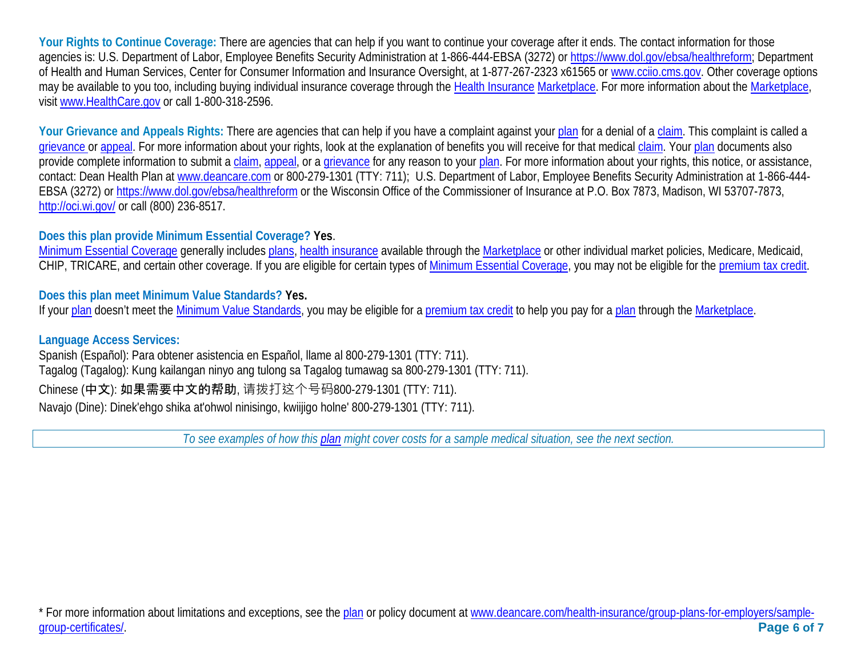Your Rights to Continue Coverage: There are agencies that can help if you want to continue your coverage after it ends. The contact information for those agencies is: U.S. Department of Labor, Employee Benefits Security Administration at 1-866-444-EBSA (3272) or [https://www.dol.gov/ebsa/healthreform;](https://www.dol.gov/ebsa/healthreform) Department of Health and Human Services, Center for Consumer Information and Insurance Oversight, at 1-877-267-2323 x61565 or [www.cciio.cms.gov.](http://www.cciio.cms.gov/) Other coverage options may be available to you too, including buying individual insurance coverage through the [Health Insurance](https://www.healthcare.gov/sbc-glossary/#health-insurance) [Marketplace.](https://www.healthcare.gov/sbc-glossary/#marketplace) For more information about the [Marketplace,](https://www.healthcare.gov/sbc-glossary/#marketplace) visit [www.HealthCare.gov](http://www.healthcare.gov/) or call 1-800-318-2596.

Your Grievance and Appeals Rights: There are agencies that can help if you have a complaint against you[r plan](https://www.healthcare.gov/sbc-glossary/#plan) for a denial of a [claim.](https://www.healthcare.gov/sbc-glossary/#claim) This complaint is called a [grievance](https://www.healthcare.gov/sbc-glossary/#grievance) or [appeal.](https://www.healthcare.gov/sbc-glossary/#appeal) For more information about your rights, look at the explanation of benefits you will receive for that medica[l claim.](https://www.healthcare.gov/sbc-glossary/#claim) Your [plan](https://www.healthcare.gov/sbc-glossary/#plan) documents also provide complete information to submit a [claim,](https://www.healthcare.gov/sbc-glossary/#claim) [appeal,](https://www.healthcare.gov/sbc-glossary/#appeal) or a [grievance](https://www.healthcare.gov/sbc-glossary/#grievance) for any reason to your [plan.](https://www.healthcare.gov/sbc-glossary/#plan) For more information about your rights, this notice, or assistance, contact: Dean Health Plan at [www.deancare.com](http://www.deancare.com/) or 800-279-1301 (TTY: 711); U.S. Department of Labor, Employee Benefits Security Administration at 1-866-444- EBSA (3272) o[r https://www.dol.gov/ebsa/healthreform](https://www.dol.gov/ebsa/healthreform) or the Wisconsin Office of the Commissioner of Insurance at P.O. Box 7873, Madison, WI 53707-7873, <http://oci.wi.gov/> or call (800) 236-8517.

### **Does this plan provide Minimum Essential Coverage? Yes**.

[Minimum Essential Coverage](https://www.healthcare.gov/sbc-glossary/#minimum-essential-coverage) generally includes [plans](https://www.healthcare.gov/sbc-glossary/#plan), [health insurance](https://www.healthcare.gov/sbc-glossary/#health-insurance) available through the [Marketplace](https://www.healthcare.gov/sbc-glossary/#marketplace) or other individual market policies, Medicare, Medicaid, CHIP, TRICARE, and certain other coverage. If you are eligible for certain types of [Minimum Essential Coverage,](https://www.healthcare.gov/sbc-glossary/#minimum-essential-coverage) you may not be eligible for the [premium tax credit.](https://www.healthcare.gov/sbc-glossary/#premium-tax-credits)

#### **Does this plan meet Minimum Value Standards? Yes.**

If your [plan](https://www.healthcare.gov/sbc-glossary/#plan) doesn't meet the [Minimum Value Standards,](https://www.healthcare.gov/sbc-glossary/#minimum-value-standard) you may be eligible for a [premium tax credit](https://www.healthcare.gov/sbc-glossary/#premium-tax-credits) to help you pay for a plan through the [Marketplace.](https://www.healthcare.gov/sbc-glossary/#marketplace)

#### **Language Access Services:**

Spanish (Español): Para obtener asistencia en Español, llame al 800-279-1301 (TTY: 711). Tagalog (Tagalog): Kung kailangan ninyo ang tulong sa Tagalog tumawag sa 800-279-1301 (TTY: 711). Chinese (中文): 如果需要中文的帮助, 请拨打这个号码800-279-1301 (TTY: 711). Navajo (Dine): Dinek'ehgo shika at'ohwol ninisingo, kwiijigo holne' 800-279-1301 (TTY: 711).

*To see examples of how this [plan](https://www.healthcare.gov/sbc-glossary/#plan) might cover costs for a sample medical situation, see the next section.*

**Page 6 of 7** \* For more information about limitations and exceptions, see the [plan](https://www.healthcare.gov/sbc-glossary/#plan) or policy document at [www.deancare.com/health-insurance/group-plans-for-employers/sample](https://www.deancare.com/health-insurance/group-plans-for-employers/sample-group-certificates/)[group-certificates/.](https://www.deancare.com/health-insurance/group-plans-for-employers/sample-group-certificates/)